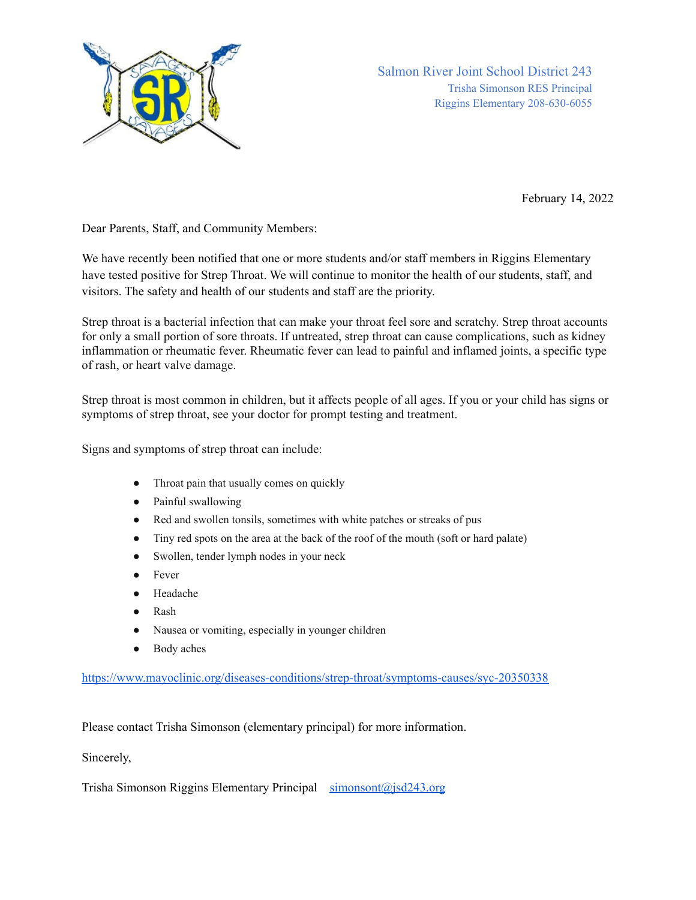

Salmon River Joint School District 243 Trisha Simonson RES Principal Riggins Elementary 208-630-6055

February 14, 2022

Dear Parents, Staff, and Community Members:

We have recently been notified that one or more students and/or staff members in Riggins Elementary have tested positive for Strep Throat. We will continue to monitor the health of our students, staff, and visitors. The safety and health of our students and staff are the priority.

Strep throat is a bacterial infection that can make your throat feel sore and scratchy. Strep throat accounts for only a small portion of sore throats. If untreated, strep throat can cause complications, such as kidney inflammation or rheumatic fever. Rheumatic fever can lead to painful and inflamed joints, a specific type of rash, or heart valve damage.

Strep throat is most common in children, but it affects people of all ages. If you or your child has signs or symptoms of strep throat, see your doctor for prompt testing and treatment.

Signs and symptoms of strep throat can include:

- Throat pain that usually comes on quickly
- Painful swallowing
- Red and swollen tonsils, sometimes with white patches or streaks of pus
- Tiny red spots on the area at the back of the roof of the mouth (soft or hard palate)
- Swollen, tender lymph nodes in your neck
- Fever
- Headache
- **Rash**
- Nausea or vomiting, especially in younger children
- Body aches

<https://www.mayoclinic.org/diseases-conditions/strep-throat/symptoms-causes/syc-20350338>

Please contact Trisha Simonson (elementary principal) for more information.

Sincerely,

Trisha Simonson Riggins Elementary Principal [simonsont@jsd243.org](mailto:simonsont@jsd243.org)